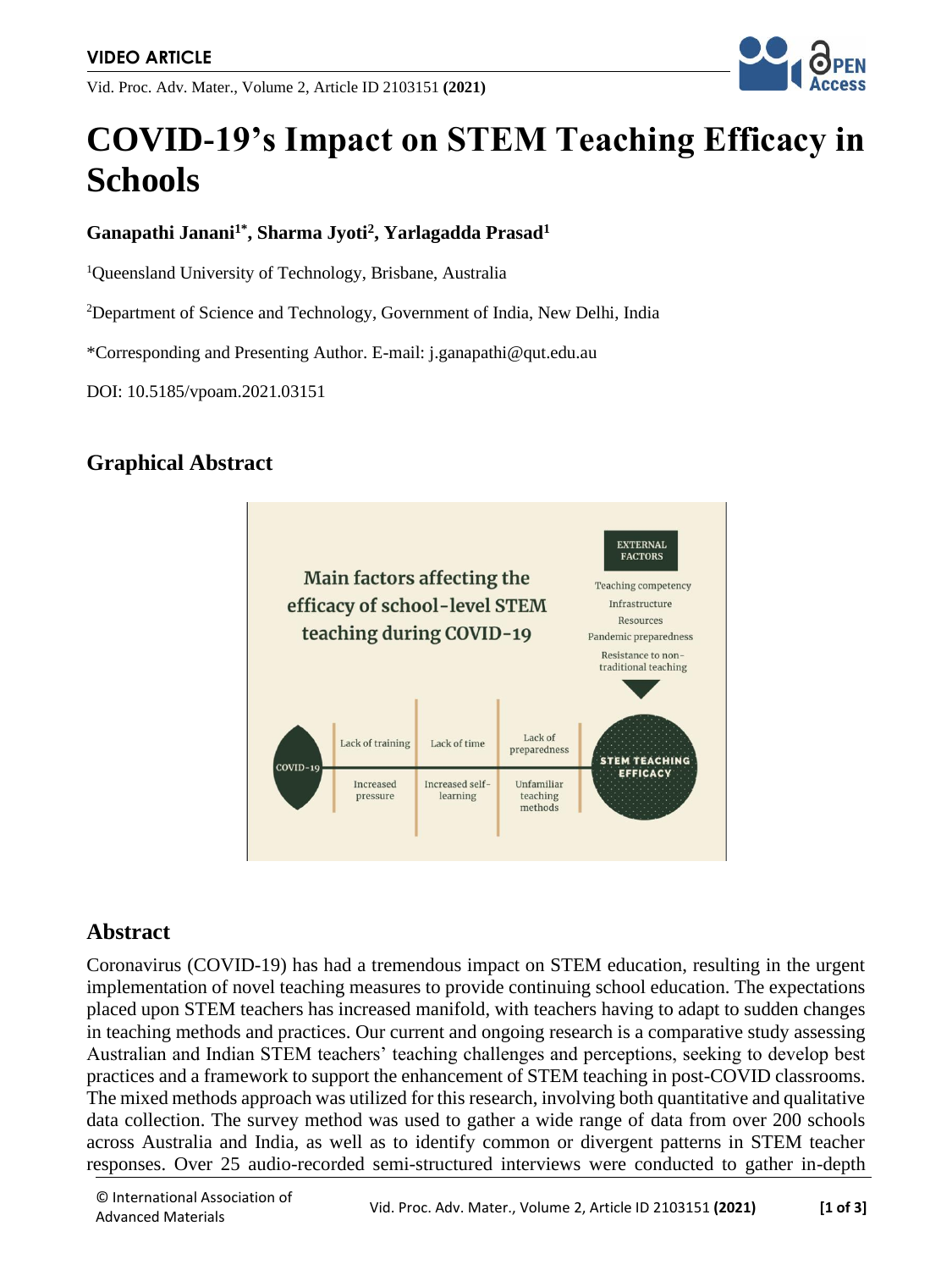Vid. Proc. Adv. Mater., Volume 2, Article ID 2103151 **(2021)**



# **COVID-19's Impact on STEM Teaching Efficacy in Schools**

#### **Ganapathi Janani1\*, Sharma Jyoti<sup>2</sup> , Yarlagadda Prasad<sup>1</sup>**

<sup>1</sup>Queensland University of Technology, Brisbane, Australia

<sup>2</sup>Department of Science and Technology, Government of India, New Delhi, India

\*Corresponding and Presenting Author. E-mail: j.ganapathi@qut.edu.au

DOI: 10.5185/vpoam.2021.03151

## **Graphical Abstract**



#### **Abstract**

Coronavirus (COVID-19) has had a tremendous impact on STEM education, resulting in the urgent implementation of novel teaching measures to provide continuing school education. The expectations placed upon STEM teachers has increased manifold, with teachers having to adapt to sudden changes in teaching methods and practices. Our current and ongoing research is a comparative study assessing Australian and Indian STEM teachers' teaching challenges and perceptions, seeking to develop best practices and a framework to support the enhancement of STEM teaching in post-COVID classrooms. The mixed methods approach was utilized for this research, involving both quantitative and qualitative data collection. The survey method was used to gather a wide range of data from over 200 schools across Australia and India, as well as to identify common or divergent patterns in STEM teacher responses. Over 25 audio-recorded semi-structured interviews were conducted to gather in-depth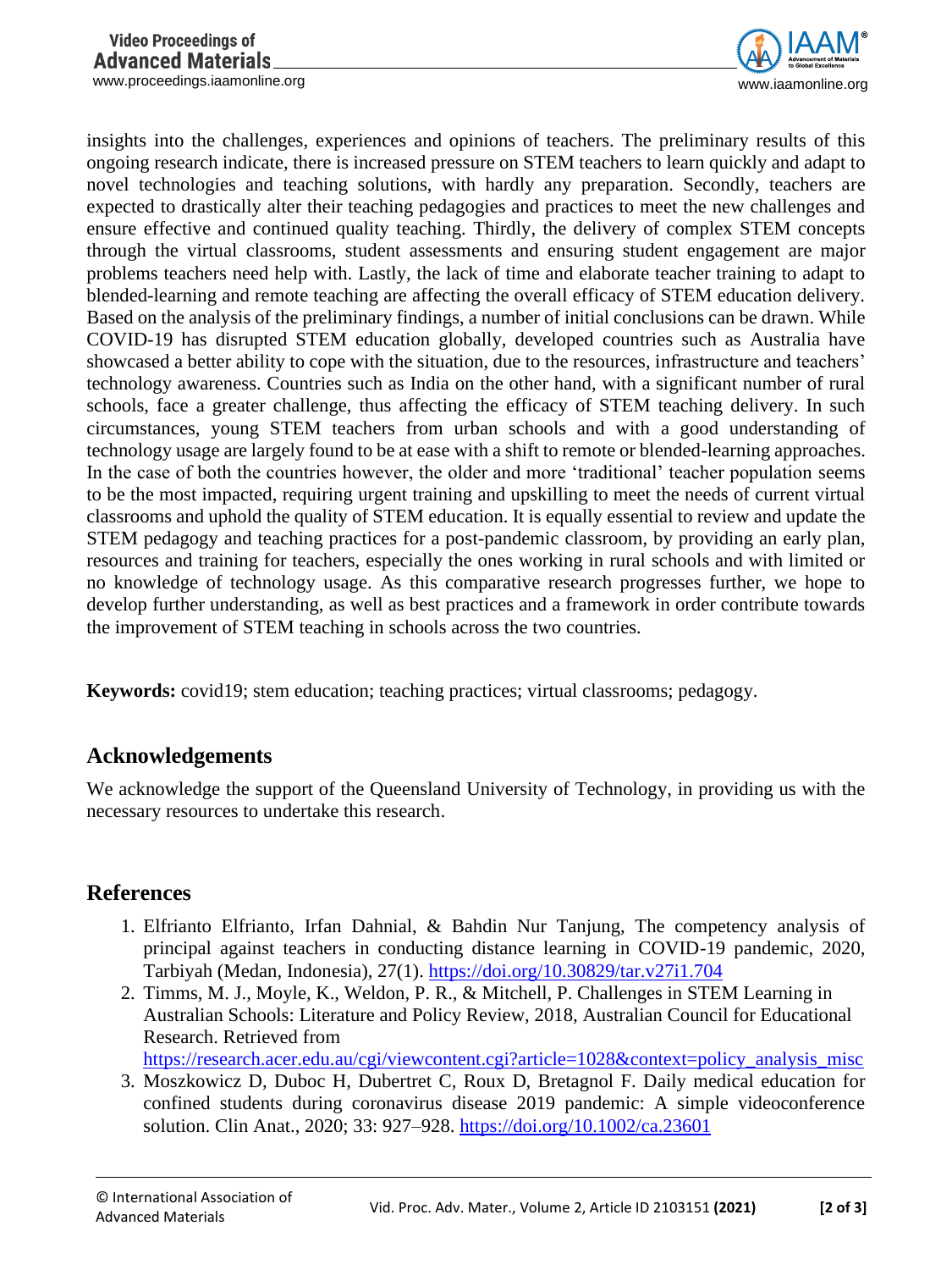www.proceedings.iaamonline.org example of the state of the state of the state of the state of the state of the state of the state of the state of the state of the state of the state of the state of the state of the state o



insights into the challenges, experiences and opinions of teachers. The preliminary results of this ongoing research indicate, there is increased pressure on STEM teachers to learn quickly and adapt to novel technologies and teaching solutions, with hardly any preparation. Secondly, teachers are expected to drastically alter their teaching pedagogies and practices to meet the new challenges and ensure effective and continued quality teaching. Thirdly, the delivery of complex STEM concepts through the virtual classrooms, student assessments and ensuring student engagement are major problems teachers need help with. Lastly, the lack of time and elaborate teacher training to adapt to blended-learning and remote teaching are affecting the overall efficacy of STEM education delivery. Based on the analysis of the preliminary findings, a number of initial conclusions can be drawn. While COVID-19 has disrupted STEM education globally, developed countries such as Australia have showcased a better ability to cope with the situation, due to the resources, infrastructure and teachers' technology awareness. Countries such as India on the other hand, with a significant number of rural schools, face a greater challenge, thus affecting the efficacy of STEM teaching delivery. In such circumstances, young STEM teachers from urban schools and with a good understanding of technology usage are largely found to be at ease with a shift to remote or blended-learning approaches. In the case of both the countries however, the older and more 'traditional' teacher population seems to be the most impacted, requiring urgent training and upskilling to meet the needs of current virtual classrooms and uphold the quality of STEM education. It is equally essential to review and update the STEM pedagogy and teaching practices for a post-pandemic classroom, by providing an early plan, resources and training for teachers, especially the ones working in rural schools and with limited or no knowledge of technology usage. As this comparative research progresses further, we hope to develop further understanding, as well as best practices and a framework in order contribute towards the improvement of STEM teaching in schools across the two countries.

**Keywords:** covid19; stem education; teaching practices; virtual classrooms; pedagogy.

## **Acknowledgements**

We acknowledge the support of the Queensland University of Technology, in providing us with the necessary resources to undertake this research.

## **References**

- 1. Elfrianto Elfrianto, Irfan Dahnial, & Bahdin Nur Tanjung, The competency analysis of principal against teachers in conducting distance learning in COVID-19 pandemic, 2020, Tarbiyah (Medan, Indonesia), 27(1).<https://doi.org/10.30829/tar.v27i1.704>
- 2. Timms, M. J., Moyle, K., Weldon, P. R., & Mitchell, P. Challenges in STEM Learning in Australian Schools: Literature and Policy Review, 2018, Australian Council for Educational Research. Retrieved from

[https://research.acer.edu.au/cgi/viewcontent.cgi?article=1028&context=policy\\_analysis\\_misc](https://research.acer.edu.au/cgi/viewcontent.cgi?article=1028&context=policy_analysis_misc%20)

3. Moszkowicz D, Duboc H, Dubertret C, Roux D, Bretagnol F. Daily medical education for confined students during coronavirus disease 2019 pandemic: A simple videoconference solution. Clin Anat., 2020; 33: 927–928.<https://doi.org/10.1002/ca.23601>